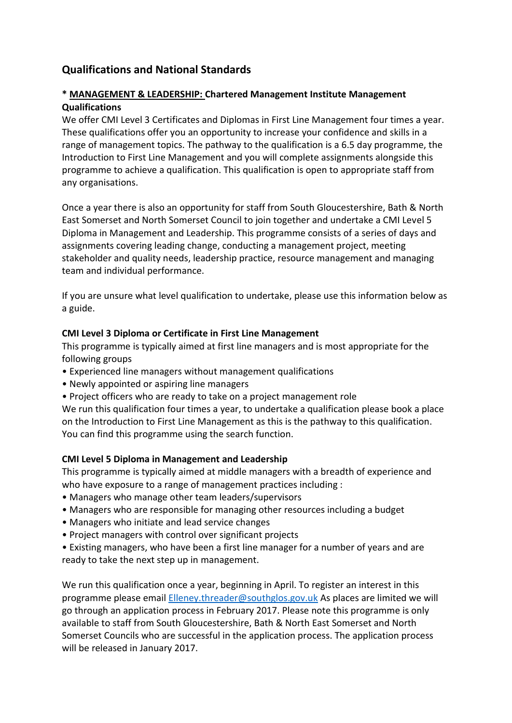# **Qualifications and National Standards**

# **\* MANAGEMENT & LEADERSHIP: Chartered Management Institute Management Qualifications**

We offer CMI Level 3 Certificates and Diplomas in First Line Management four times a year. These qualifications offer you an opportunity to increase your confidence and skills in a range of management topics. The pathway to the qualification is a 6.5 day programme, the Introduction to First Line Management and you will complete assignments alongside this programme to achieve a qualification. This qualification is open to appropriate staff from any organisations.

Once a year there is also an opportunity for staff from South Gloucestershire, Bath & North East Somerset and North Somerset Council to join together and undertake a CMI Level 5 Diploma in Management and Leadership. This programme consists of a series of days and assignments covering leading change, conducting a management project, meeting stakeholder and quality needs, leadership practice, resource management and managing team and individual performance.

If you are unsure what level qualification to undertake, please use this information below as a guide.

#### **CMI Level 3 Diploma or Certificate in First Line Management**

This programme is typically aimed at first line managers and is most appropriate for the following groups

- Experienced line managers without management qualifications
- Newly appointed or aspiring line managers
- Project officers who are ready to take on a project management role

We run this qualification four times a year, to undertake a qualification please book a place on the Introduction to First Line Management as this is the pathway to this qualification. You can find this programme using the search function.

### **CMI Level 5 Diploma in Management and Leadership**

This programme is typically aimed at middle managers with a breadth of experience and who have exposure to a range of management practices including :

- Managers who manage other team leaders/supervisors
- Managers who are responsible for managing other resources including a budget
- Managers who initiate and lead service changes
- Project managers with control over significant projects

• Existing managers, who have been a first line manager for a number of years and are ready to take the next step up in management.

We run this qualification once a year, beginning in April. To register an interest in this programme please email [Elleney.threader@southglos.gov.uk](mailto:Elleney.threader@southglos.gov.uk) As places are limited we will go through an application process in February 2017. Please note this programme is only available to staff from South Gloucestershire, Bath & North East Somerset and North Somerset Councils who are successful in the application process. The application process will be released in January 2017.